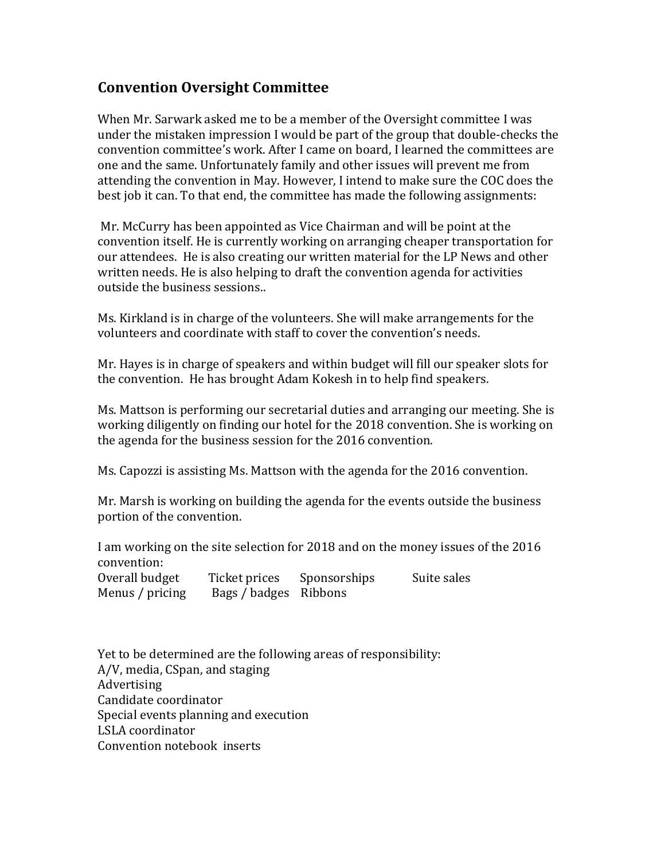## **Convention Oversight Committee**

When Mr. Sarwark asked me to be a member of the Oversight committee I was under the mistaken impression I would be part of the group that double-checks the convention committee's work. After I came on board, I learned the committees are one and the same. Unfortunately family and other issues will prevent me from attending the convention in May. However, I intend to make sure the COC does the best job it can. To that end, the committee has made the following assignments:

Mr. McCurry has been appointed as Vice Chairman and will be point at the convention itself. He is currently working on arranging cheaper transportation for our attendees. He is also creating our written material for the LP News and other written needs. He is also helping to draft the convention agenda for activities outside the business sessions..

Ms. Kirkland is in charge of the volunteers. She will make arrangements for the volunteers and coordinate with staff to cover the convention's needs.

Mr. Hayes is in charge of speakers and within budget will fill our speaker slots for the convention. He has brought Adam Kokesh in to help find speakers.

Ms. Mattson is performing our secretarial duties and arranging our meeting. She is working diligently on finding our hotel for the 2018 convention. She is working on the agenda for the business session for the 2016 convention.

Ms. Capozzi is assisting Ms. Mattson with the agenda for the 2016 convention.

Mr. Marsh is working on building the agenda for the events outside the business portion of the convention.

I am working on the site selection for 2018 and on the money issues of the 2016 convention: Overall budget Ticket prices Sponsorships Suite sales

Menus / pricing Bags / badges Ribbons

Yet to be determined are the following areas of responsibility: A/V, media, CSpan, and staging Advertising Candidate coordinator Special events planning and execution LSLA coordinator Convention notebook inserts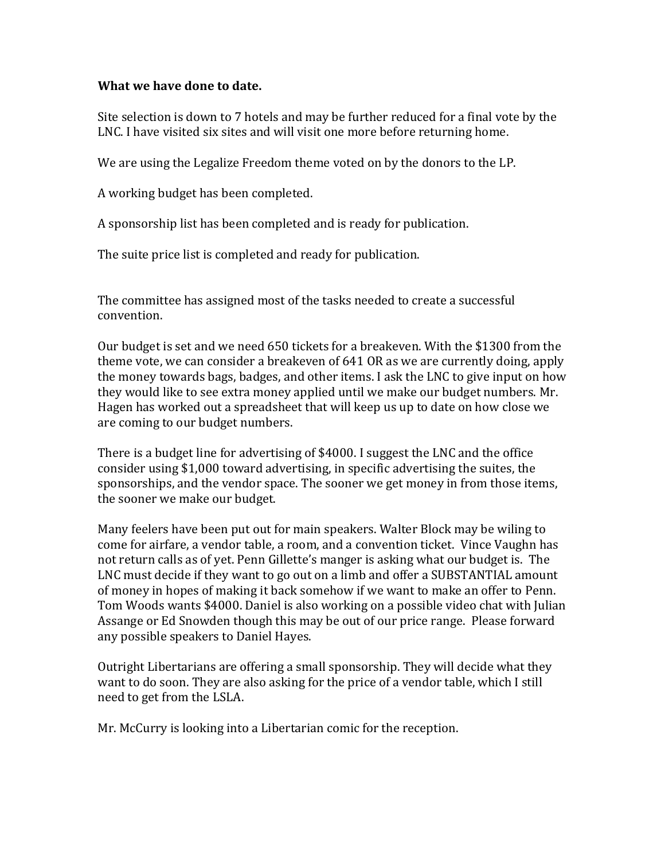## **What we have done to date.**

Site selection is down to 7 hotels and may be further reduced for a final vote by the LNC. I have visited six sites and will visit one more before returning home.

We are using the Legalize Freedom theme voted on by the donors to the LP.

A working budget has been completed.

A sponsorship list has been completed and is ready for publication.

The suite price list is completed and ready for publication.

The committee has assigned most of the tasks needed to create a successful convention.

Our budget is set and we need 650 tickets for a breakeven. With the \$1300 from the theme vote, we can consider a breakeven of 641 OR as we are currently doing, apply the money towards bags, badges, and other items. I ask the LNC to give input on how they would like to see extra money applied until we make our budget numbers. Mr. Hagen has worked out a spreadsheet that will keep us up to date on how close we are coming to our budget numbers.

There is a budget line for advertising of \$4000. I suggest the LNC and the office consider using \$1,000 toward advertising, in specific advertising the suites, the sponsorships, and the vendor space. The sooner we get money in from those items, the sooner we make our budget.

Many feelers have been put out for main speakers. Walter Block may be wiling to come for airfare, a vendor table, a room, and a convention ticket. Vince Vaughn has not return calls as of yet. Penn Gillette's manger is asking what our budget is. The LNC must decide if they want to go out on a limb and offer a SUBSTANTIAL amount of money in hopes of making it back somehow if we want to make an offer to Penn. Tom Woods wants \$4000. Daniel is also working on a possible video chat with Julian Assange or Ed Snowden though this may be out of our price range. Please forward any possible speakers to Daniel Hayes.

Outright Libertarians are offering a small sponsorship. They will decide what they want to do soon. They are also asking for the price of a vendor table, which I still need to get from the LSLA.

Mr. McCurry is looking into a Libertarian comic for the reception.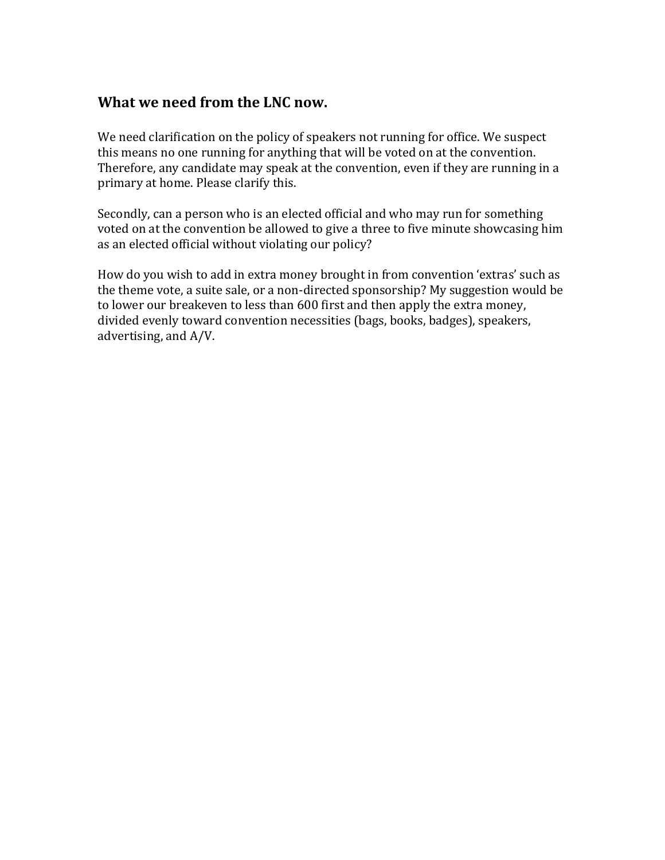## **What we need from the LNC now.**

We need clarification on the policy of speakers not running for office. We suspect this means no one running for anything that will be voted on at the convention. Therefore, any candidate may speak at the convention, even if they are running in a primary at home. Please clarify this.

Secondly, can a person who is an elected official and who may run for something voted on at the convention be allowed to give a three to five minute showcasing him as an elected official without violating our policy?

How do you wish to add in extra money brought in from convention 'extras' such as the theme vote, a suite sale, or a non-directed sponsorship? My suggestion would be to lower our breakeven to less than 600 first and then apply the extra money, divided evenly toward convention necessities (bags, books, badges), speakers, advertising, and A/V.